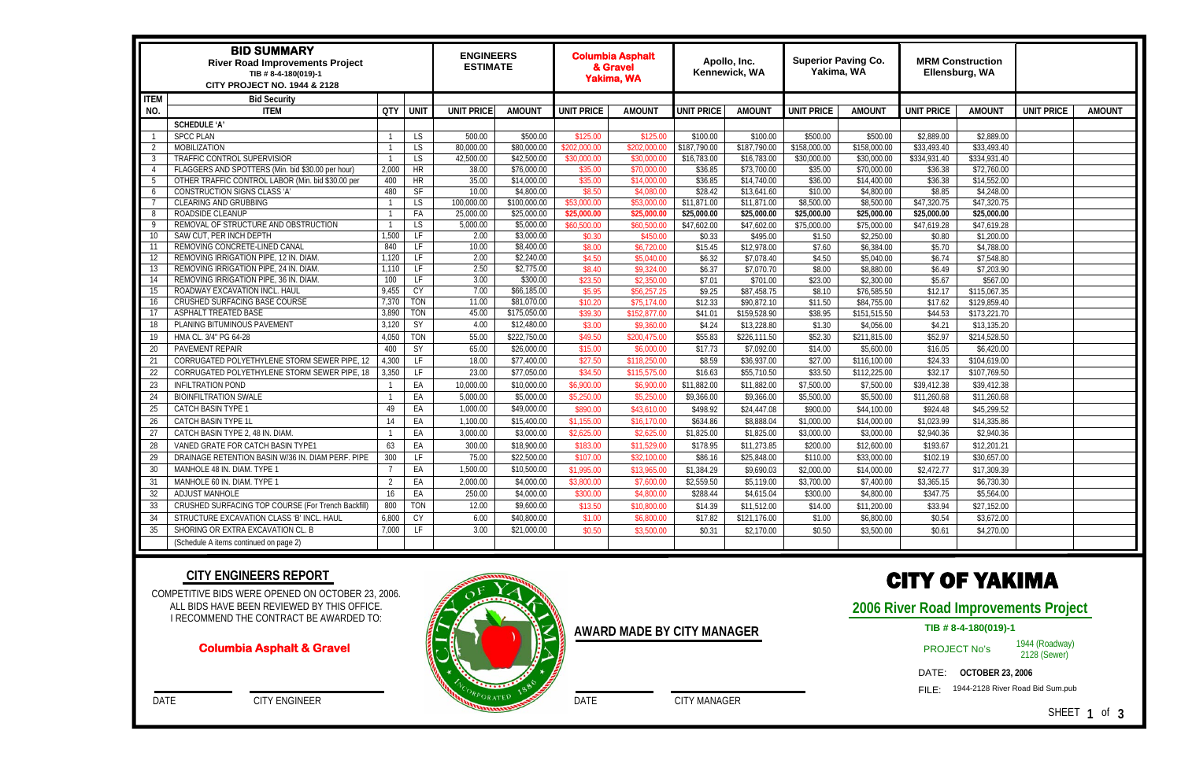| <b>BID SUMMARY</b><br><b>River Road Improvements Project</b><br>TIB #8-4-180(019)-1<br><b>CITY PROJECT NO. 1944 &amp; 2128</b> |                                                    |                |            | <b>ENGINEERS</b><br><b>ESTIMATE</b> |              | <b>Columbia Asphalt</b><br>& Gravel<br><b>Yakima, WA</b> |               | Apollo, Inc.<br>Kennewick, WA |              | <b>Superior Paving Co.</b><br>Yakima, WA |               | <b>MRM Construction</b><br>Ellensburg, WA |               |                   |               |
|--------------------------------------------------------------------------------------------------------------------------------|----------------------------------------------------|----------------|------------|-------------------------------------|--------------|----------------------------------------------------------|---------------|-------------------------------|--------------|------------------------------------------|---------------|-------------------------------------------|---------------|-------------------|---------------|
| <b>ITEM</b>                                                                                                                    | <b>Bid Security</b>                                |                |            |                                     |              |                                                          |               |                               |              |                                          |               |                                           |               |                   |               |
| NO.                                                                                                                            | <b>ITEM</b>                                        | QTY UNIT       |            | <b>UNIT PRICE</b>                   | <b>AMOUN</b> | <b>UNIT PRICE</b>                                        | <b>AMOUNT</b> | <b>UNIT PRICE</b>             | AMOUN1       | <b>UNIT PRICE</b>                        | <b>AMOUNT</b> | <b>UNIT PRICE</b>                         | <b>AMOUNT</b> | <b>UNIT PRICE</b> | <b>AMOUNT</b> |
|                                                                                                                                | <b>SCHEDULE 'A'</b>                                |                |            |                                     |              |                                                          |               |                               |              |                                          |               |                                           |               |                   |               |
|                                                                                                                                | <b>SPCC PLAN</b>                                   |                | LS         | 500.00                              | \$500.00     | \$125.00                                                 | \$125.00      | \$100.00                      | \$100.00     | \$500.00                                 | \$500.00      | \$2,889.00                                | \$2,889.00    |                   |               |
| $\overline{2}$                                                                                                                 | <b>MOBILIZATION</b>                                |                | LS         | 80,000.00                           | \$80,000.00  | \$202,000.00                                             | \$202,000.00  | \$187,790.00                  | \$187,790.00 | \$158,000.00                             | \$158,000.00  | \$33,493.40                               | \$33,493.40   |                   |               |
| -3                                                                                                                             | TRAFFIC CONTROL SUPERVISIOR                        |                | LS         | 42,500.00                           | \$42,500.00  | \$30,000.00                                              | \$30,000.00   | \$16,783.00                   | \$16,783.00  | \$30,000.00                              | \$30,000.00   | \$334,931.40                              | \$334,931.40  |                   |               |
| $\overline{4}$                                                                                                                 | FLAGGERS AND SPOTTERS (Min. bid \$30.00 per hour)  | 2,000          | <b>HR</b>  | 38.00                               | \$76,000.00  | \$35.00                                                  | \$70,000.00   | \$36.85                       | \$73,700.00  | \$35.00                                  | \$70,000.00   | \$36.38                                   | \$72,760.00   |                   |               |
| - 5                                                                                                                            | OTHER TRAFFIC CONTROL LABOR (Min. bid \$30.00 per  | 400            | <b>HR</b>  | 35.00                               | \$14,000.00  | \$35.00                                                  | \$14,000.00   | \$36.85                       | \$14,740.00  | \$36.00                                  | \$14,400.00   | \$36.38                                   | \$14,552.00   |                   |               |
| -6                                                                                                                             | CONSTRUCTION SIGNS CLASS 'A'                       | 480            | SF         | 10.00                               | \$4,800.00   | \$8.50                                                   | \$4,080.00    | \$28.42                       | \$13,641.60  | \$10.00                                  | \$4,800.00    | \$8.85                                    | \$4,248.00    |                   |               |
| - 7                                                                                                                            | CLEARING AND GRUBBING                              |                | LS.        | 100,000.00                          | \$100,000.00 | \$53,000.00                                              | \$53,000.00   | \$11,871.00                   | \$11,871.00  | \$8,500.00                               | \$8,500.00    | \$47,320.75                               | \$47,320.75   |                   |               |
| -8                                                                                                                             | ROADSIDE CLEANUP                                   |                | FA         | 25,000.00                           | \$25,000.00  | \$25,000.00                                              | \$25,000.00   | \$25,000.00                   | \$25,000.00  | \$25,000.00                              | \$25,000.00   | \$25,000.00                               | \$25,000.00   |                   |               |
| - 9                                                                                                                            | REMOVAL OF STRUCTURE AND OBSTRUCTION               |                | LS.        | 5,000.00                            | \$5,000.00   | \$60,500.00                                              | \$60,500.00   | \$47,602.00                   | \$47,602.00  | \$75,000.00                              | \$75,000.00   | \$47,619.28                               | \$47,619.28   |                   |               |
| 10                                                                                                                             | SAW CUT, PER INCH DEPTH                            | 1,500          | LF         | 2.00                                | \$3,000.00   | \$0.30                                                   | \$450.00      | \$0.33                        | \$495.00     | \$1.50                                   | \$2,250.00    | \$0.80                                    | \$1,200.00    |                   |               |
| 11                                                                                                                             | REMOVING CONCRETE-LINED CANAL                      | 840            | LF         | 10.00                               | \$8,400.00   | \$8.00                                                   | \$6,720.00    | \$15.45                       | \$12,978.00  | \$7.60                                   | \$6,384.00    | \$5.70                                    | \$4,788.00    |                   |               |
| 12                                                                                                                             | REMOVING IRRIGATION PIPE, 12 IN. DIAM.             | 1,120          | LF         | 2.00                                | \$2,240.00   | \$4.50                                                   | \$5,040.00    | \$6.32                        | \$7,078.40   | \$4.50                                   | \$5,040.00    | \$6.74                                    | \$7,548.80    |                   |               |
| 13                                                                                                                             | REMOVING IRRIGATION PIPE, 24 IN. DIAM.             | 1,110          | LF         | 2.50                                | \$2,775.00   | \$8.40                                                   | \$9,324.00    | \$6.37                        | \$7,070.70   | \$8.00                                   | \$8,880.00    | \$6.49                                    | \$7,203.90    |                   |               |
| 14                                                                                                                             | REMOVING IRRIGATION PIPE, 36 IN. DIAM.             | 100            | LF         | 3.00                                | \$300.00     | \$23.50                                                  | \$2,350.00    | \$7.01                        | \$701.00     | \$23.00                                  | \$2,300.00    | \$5.67                                    | \$567.00      |                   |               |
| 15                                                                                                                             | ROADWAY EXCAVATION INCL. HAUL                      | 9,455          | CY         | 7.00                                | \$66,185.00  | \$5.95                                                   | \$56,257.25   | \$9.25                        | \$87,458.75  | \$8.10                                   | \$76,585.50   | \$12.17                                   | \$115,067.35  |                   |               |
| 16                                                                                                                             | CRUSHED SURFACING BASE COURSE                      | 7,370          | <b>TON</b> | 11.00                               | \$81,070.00  | \$10.20                                                  | \$75,174.00   | \$12.33                       | \$90,872.10  | \$11.50                                  | \$84,755.00   | \$17.62                                   | \$129,859.40  |                   |               |
| 17                                                                                                                             | ASPHALT TREATED BASE                               | 3,890          | <b>TON</b> | 45.00                               | \$175,050.00 | \$39.30                                                  | \$152,877.00  | \$41.01                       | \$159,528.90 | \$38.95                                  | \$151,515.50  | \$44.53                                   | \$173,221.70  |                   |               |
| 18                                                                                                                             | PLANING BITUMINOUS PAVEMENT                        | 3,120          | SY         | 4.00                                | \$12,480.00  | \$3.00                                                   | \$9,360.00    | \$4.24                        | \$13,228.80  | \$1.30                                   | \$4,056.00    | \$4.21                                    | \$13,135.20   |                   |               |
| 19                                                                                                                             | HMA CL. 3/4" PG 64-28                              | 4,050          | <b>TON</b> | 55.00                               | \$222,750.00 | \$49.50                                                  | \$200,475.00  | \$55.83                       | \$226,111.50 | \$52.30                                  | \$211,815.00  | \$52.97                                   | \$214,528.50  |                   |               |
| 20                                                                                                                             | PAVEMENT REPAIR                                    | 400            | SY         | 65.00                               | \$26,000.00  | \$15.00                                                  | \$6,000.00    | \$17.73                       | \$7,092.00   | \$14.00                                  | \$5,600.00    | \$16.05                                   | \$6,420.00    |                   |               |
| 21                                                                                                                             | CORRUGATED POLYETHYLENE STORM SEWER PIPE, 12       | 4,300          | LF.        | 18.00                               | \$77,400.00  | \$27.50                                                  | \$118,250.00  | \$8.59                        | \$36,937.00  | \$27.00                                  | \$116,100.00  | \$24.33                                   | \$104,619.00  |                   |               |
| 22                                                                                                                             | CORRUGATED POLYETHYLENE STORM SEWER PIPE, 18       | 3,350          | LF.        | 23.00                               | \$77,050.00  | \$34.50                                                  | \$115,575.00  | \$16.63                       | \$55,710.50  | \$33.50                                  | \$112,225.00  | \$32.17                                   | \$107,769.50  |                   |               |
| 23                                                                                                                             | <b>INFILTRATION POND</b>                           |                | EA         | 10,000.00                           | \$10,000.00  | \$6,900.00                                               | \$6,900.00    | \$11,882.00                   | \$11,882.00  | \$7,500.00                               | \$7,500.00    | \$39,412.38                               | \$39,412.38   |                   |               |
| 24                                                                                                                             | <b>BIOINFILTRATION SWALE</b>                       |                | EA         | 5,000.00                            | \$5,000.00   | \$5,250.00                                               | \$5,250.00    | \$9,366.00                    | \$9,366.00   | \$5,500.00                               | \$5,500.00    | \$11,260.68                               | \$11,260.68   |                   |               |
| 25                                                                                                                             | CATCH BASIN TYPE 1                                 | 49             | EA         | 1,000.00                            | \$49,000.00  | \$890.00                                                 | \$43,610.00   | \$498.92                      | \$24,447.08  | \$900.00                                 | \$44,100.00   | \$924.48                                  | \$45,299.52   |                   |               |
| 26                                                                                                                             | CATCH BASIN TYPE 1L                                | 14             | EA         | 1,100.00                            | \$15,400.00  | \$1,155.00                                               | \$16,170.00   | \$634.86                      | \$8,888.04   | \$1,000.00                               | \$14,000.00   | \$1,023.99                                | \$14,335.86   |                   |               |
| 27                                                                                                                             | CATCH BASIN TYPE 2, 48 IN. DIAM.                   |                | EA         | 3,000.00                            | \$3,000.00   | \$2,625.00                                               | \$2,625.00    | \$1,825.00                    | \$1,825.00   | \$3,000.00                               | \$3,000.00    | \$2,940.36                                | \$2,940.36    |                   |               |
| 28                                                                                                                             | VANED GRATE FOR CATCH BASIN TYPE1                  | 63             | EA         | 300.00                              | \$18,900.00  | \$183.00                                                 | \$11,529.00   | \$178.95                      | \$11,273.85  | \$200.00                                 | \$12,600.00   | \$193.67                                  | \$12,201.21   |                   |               |
| 29                                                                                                                             | DRAINAGE RETENTION BASIN W/36 IN. DIAM PERF. PIPE  | 300            | LF.        | 75.00                               | \$22,500.00  | \$107.00                                                 | \$32,100.00   | \$86.16                       | \$25,848.00  | \$110.00                                 | \$33,000.00   | \$102.19                                  | \$30,657.00   |                   |               |
| $30\,$                                                                                                                         | MANHOLE 48 IN. DIAM. TYPE 1                        | $\overline{7}$ | EA         | 1,500.00                            | \$10,500.00  | \$1,995.00                                               | \$13,965.00   | \$1,384.29                    | \$9,690.03   | \$2,000.00                               | \$14,000.00   | \$2,472.77                                | \$17,309.39   |                   |               |
| 31                                                                                                                             | MANHOLE 60 IN. DIAM. TYPE 1                        | $\overline{2}$ | EA         | 2,000.00                            | \$4,000.00   | \$3,800.00                                               | \$7,600.00    | \$2,559.50                    | \$5,119.00   | \$3,700.00                               | \$7,400.00    | \$3,365.15                                | \$6,730.30    |                   |               |
| 32                                                                                                                             | ADJUST MANHOLE                                     | 16             | EA         | 250.00                              | \$4,000.00   | \$300.00                                                 | \$4,800.00    | \$288.44                      | \$4,615.04   | \$300.00                                 | \$4,800.00    | \$347.75                                  | \$5,564.00    |                   |               |
|                                                                                                                                |                                                    |                |            |                                     |              | \$13.50                                                  |               |                               |              |                                          |               |                                           |               |                   |               |
| 33                                                                                                                             | CRUSHED SURFACING TOP COURSE (For Trench Backfill) | 800            | TON        | 12.00                               | \$9,600.00   |                                                          | \$10,800.00   | \$14.39                       | \$11,512.00  | \$14.00                                  | \$11,200.00   | \$33.94                                   | \$27,152.00   |                   |               |
| 34                                                                                                                             | STRUCTURE EXCAVATION CLASS 'B' INCL. HAUL          | 6,800          | <b>CY</b>  | 6.00                                | \$40,800.00  | \$1.00                                                   | \$6,800.00    | \$17.82                       | \$121,176.00 | \$1.00                                   | \$6,800.00    | \$0.54                                    | \$3,672.00    |                   |               |
| 35                                                                                                                             | SHORING OR EXTRA EXCAVATION CL. B                  | 7,000          | LF         | 3.00                                | \$21,000.00  | \$0.50                                                   | \$3,500.00    | \$0.31                        | \$2,170.00   | \$0.50                                   | \$3,500.00    | \$0.61                                    | \$4,270.00    |                   |               |
|                                                                                                                                | (Schedule A items continued on page 2)             |                |            |                                     |              |                                                          |               |                               |              |                                          |               |                                           |               |                   |               |

COMPETITIVE BIDS WERE OPENED ON OCTOBER 23, 2006. ALL BIDS HAVE BEEN REVIEWED BY THIS OFFICE. I RECOMMEND THE CONTRACT BE AWARDED TO:

DATE CITY ENGINEER

### **CITY ENGINEERS REPORT**

DATE CITY MANAGER

| AWARD MADE BY CITY MANAGER |  |  |
|----------------------------|--|--|
|                            |  |  |

### **Columbia Asphalt & Gravel**



# CITY OF YAKIMA

### **2006 River Road Improvements Project**

### PROJECT No's

1944 (Roadway) 2128 (Sewer)

DATE: **OCTOBER 23, 2006** 

FILE: 1944-2128 River Road Bid Sum.pub

SHEET **1** of **3** 

### **TIB # 8-4-180(019)-1**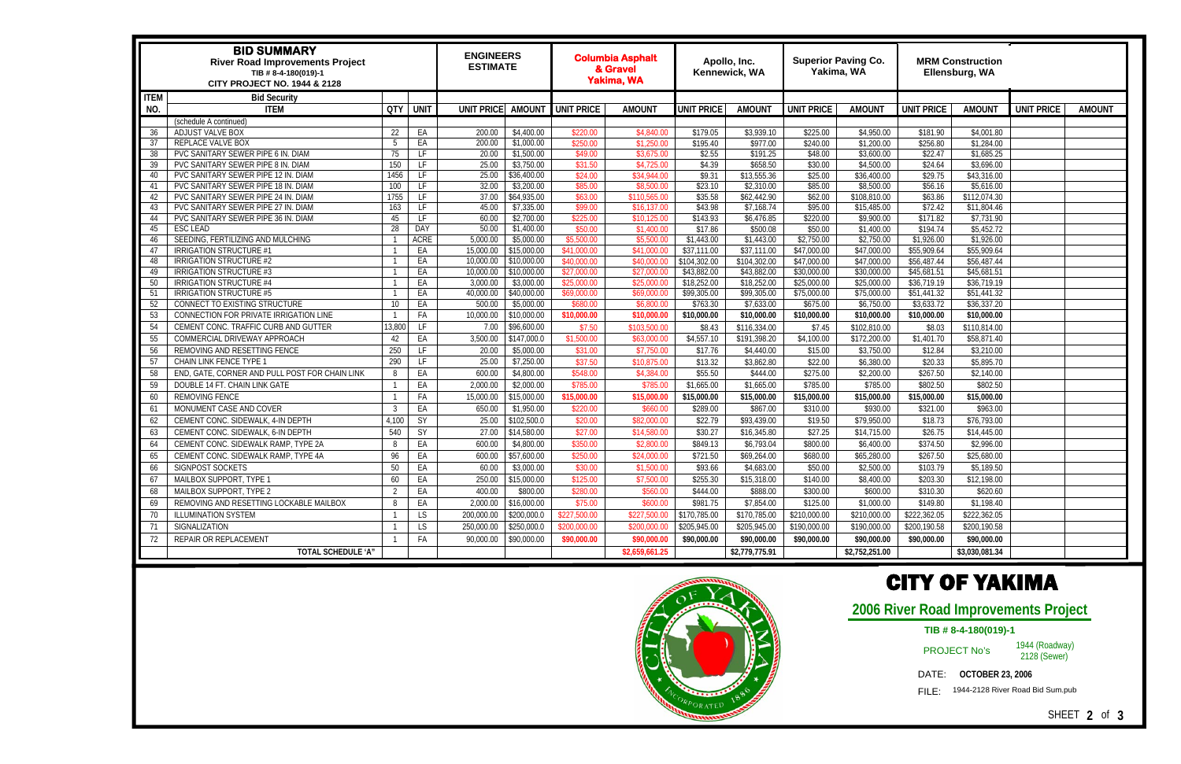| <b>BID SUMMARY</b><br><b>River Road Improvements Project</b><br>TIB #8-4-180(019)-1<br><b>CITY PROJECT NO. 1944 &amp; 2128</b> |                                                        |        | <b>ENGINEERS</b><br><b>ESTIMATE</b> |                   | <b>Columbia Asphalt</b><br>& Gravel<br><b>Yakima, WA</b> |                     | Apollo, Inc.<br>Kennewick, WA |                     | <b>Superior Paving Co.</b><br>Yakima, WA |                     | <b>MRM Construction</b><br>Ellensburg, WA |                      |                          |                   |               |
|--------------------------------------------------------------------------------------------------------------------------------|--------------------------------------------------------|--------|-------------------------------------|-------------------|----------------------------------------------------------|---------------------|-------------------------------|---------------------|------------------------------------------|---------------------|-------------------------------------------|----------------------|--------------------------|-------------------|---------------|
| <b>ITEM</b>                                                                                                                    | <b>Bid Security</b>                                    |        |                                     |                   |                                                          |                     |                               |                     |                                          |                     |                                           |                      |                          |                   |               |
| NO.                                                                                                                            | <b>ITEM</b>                                            | QTY    | <b>UNIT</b>                         | <b>UNIT PRICE</b> | <b>AMOUNT</b>                                            | UNIT PRICE          | <b>AMOUNT</b>                 | UNIT PRICE          | <b>AMOUN1</b>                            | <b>UNIT PRICE</b>   | <b>AMOUNT</b>                             | <b>UNIT PRICE</b>    | <b>AMOUNT</b>            | <b>UNIT PRICE</b> | <b>AMOUNT</b> |
|                                                                                                                                | (schedule A continued)                                 |        |                                     |                   |                                                          |                     |                               |                     |                                          |                     |                                           |                      |                          |                   |               |
| 36                                                                                                                             | ADJUST VALVE BOX                                       | 22     | EA                                  | 200.00            | \$4,400.00                                               | \$220.00            | \$4,840.00                    | \$179.05            | \$3,939.10                               | \$225.00            | \$4,950.00                                | \$181.90             | \$4,001.80               |                   |               |
| 37                                                                                                                             | REPLACE VALVE BOX                                      | 5      | EA                                  | 200.00            | \$1,000.00                                               | \$250.00            | \$1,250.00                    | \$195.40            | \$977.00                                 | \$240.00            | $\overline{\$1,200.00}$                   | \$256.80             | \$1,284.00               |                   |               |
| 38                                                                                                                             | PVC SANITARY SEWER PIPE 6 IN. DIAM                     | 75     | LF                                  | 20.00             | \$1,500.00                                               | \$49.00             | \$3,675.00                    | \$2.55              | \$191.25                                 | \$48.00             | \$3,600.00                                | \$22.47              | \$1,685.25               |                   |               |
| 39                                                                                                                             | PVC SANITARY SEWER PIPE 8 IN. DIAM                     | 150    | LF                                  | 25.00             | \$3,750.00                                               | \$31.50             | \$4,725.00                    | \$4.39              | \$658.50                                 | \$30.00             | \$4,500.00                                | \$24.64              | \$3,696.00               |                   |               |
| 40                                                                                                                             | PVC SANITARY SEWER PIPE 12 IN. DIAM                    | 1456   | LF                                  | 25.00             | \$36,400.00                                              | \$24.00             | \$34,944.00                   | \$9.31              | \$13,555.36                              | \$25.00             | \$36,400.00                               | \$29.75              | \$43,316.00              |                   |               |
| 41                                                                                                                             | PVC SANITARY SEWER PIPE 18 IN. DIAM                    | 100    | LF                                  | 32.00             | \$3,200.00                                               | \$85.00             | \$8,500.00                    | \$23.10             | \$2,310.00                               | \$85.00             | \$8,500.00                                | \$56.16              | \$5,616.00               |                   |               |
| 42                                                                                                                             | PVC SANITARY SEWER PIPE 24 IN. DIAM                    | 1755   | LF.                                 | 37.00             | \$64,935.00                                              | \$63.00             | \$110,565.00                  | \$35.58             | \$62,442.90                              | \$62.00             | \$108,810.00                              | \$63.86              | \$112,074.30             |                   |               |
| 43                                                                                                                             | PVC SANITARY SEWER PIPE 27 IN. DIAM                    | 163    | LF.                                 | 45.00             | \$7,335.00                                               | \$99.00             | \$16,137.00                   | \$43.98             | \$7,168.74                               | \$95.00             | \$15,485.00                               | \$72.42              | \$11,804.46              |                   |               |
| 44                                                                                                                             | PVC SANITARY SEWER PIPE 36 IN. DIAM<br><b>ESC LEAD</b> | 45     | LF<br><b>DAY</b>                    | 60.00             | \$2,700.00<br>\$1,400.00                                 | \$225.00<br>\$50.00 | \$10,125.00<br>\$1,400.00     | \$143.93<br>\$17.86 | \$6,476.85<br>\$500.08                   | \$220.00<br>\$50.00 | \$9,900.00<br>\$1,400.00                  | \$171.82<br>\$194.74 | \$7,731.90<br>\$5,452.72 |                   |               |
| 45                                                                                                                             | SEEDING, FERTILIZING AND MULCHING                      | 28     | <b>ACRE</b>                         | 50.00<br>5,000.00 | \$5,000.00                                               | \$5,500.00          | \$5,500.00                    | \$1,443.00          | \$1,443.00                               | \$2,750.00          | \$2,750.00                                | \$1,926.00           | \$1,926.00               |                   |               |
| 46<br>47                                                                                                                       | <b>IRRIGATION STRUCTURE #1</b>                         |        | EA                                  | 15,000.00         | \$15,000.00                                              | \$41,000.00         | \$41,000.00                   | \$37,111.00         | \$37,111.00                              | \$47,000.00         | \$47,000.00                               | \$55,909.64          | \$55,909.64              |                   |               |
| 48                                                                                                                             | IRRIGATION STRUCTURE #2                                |        | EA                                  | 10,000.00         | \$10,000.00                                              | \$40,000.00         | \$40,000.00                   | \$104,302.00        | \$104,302.00                             | \$47,000.00         | \$47,000.00                               | \$56,487.44          | \$56,487.44              |                   |               |
| 49                                                                                                                             | IRRIGATION STRUCTURE #3                                |        | EA                                  | 10,000.00         | \$10,000.00                                              | \$27,000.00         | \$27,000.00                   | \$43,882.00         | \$43,882.00                              | \$30,000.00         | \$30,000.00                               | \$45,681.51          | \$45,681.51              |                   |               |
| 50                                                                                                                             | IRRIGATION STRUCTURE #4                                |        | EA                                  | 3,000.00          | \$3,000.00                                               | \$25,000.00         | \$25,000.00                   | \$18,252.00         | \$18,252.00                              | \$25,000.00         | \$25,000.00                               | \$36,719.19          | \$36,719.19              |                   |               |
| 51                                                                                                                             | <b>IRRIGATION STRUCTURE #5</b>                         |        | EA                                  | 40,000.00         | \$40,000.00                                              | \$69,000.00         | \$69,000.00                   | \$99,305.00         | \$99,305.00                              | \$75,000.00         | \$75,000.00                               | \$51,441.32          | \$51,441.32              |                   |               |
| 52                                                                                                                             | CONNECT TO EXISTING STRUCTURE                          | 10     | EA                                  | 500.00            | \$5,000.00                                               | \$680.00            | \$6,800.00                    | \$763.30            | \$7,633.00                               | \$675.00            | \$6,750.00                                | \$3,633.72           | \$36,337.20              |                   |               |
| 53                                                                                                                             | CONNECTION FOR PRIVATE IRRIGATION LINE                 |        | FA                                  | 10,000.00         | \$10,000.00                                              | \$10,000.00         | \$10,000.00                   | \$10,000.00         | \$10,000.00                              | \$10,000.00         | \$10,000.00                               | \$10,000.00          | \$10,000.00              |                   |               |
| 54                                                                                                                             | CEMENT CONC. TRAFFIC CURB AND GUTTER                   | 13,800 | LF                                  | 7.00              | \$96,600.00                                              | \$7.50              | \$103,500.00                  | \$8.43              | \$116,334.00                             | \$7.45              | \$102,810.00                              | \$8.03               | \$110,814.00             |                   |               |
| 55                                                                                                                             | COMMERCIAL DRIVEWAY APPROACH                           | 42     | EA                                  | 3,500.00          | \$147,000.0                                              | \$1,500.00          | \$63,000.00                   | \$4,557.10          | \$191,398.20                             | \$4,100.00          | \$172,200.00                              | \$1,401.70           | \$58,871.40              |                   |               |
| 56                                                                                                                             | REMOVING AND RESETTING FENCE                           | 250    | LF                                  | 20.00             | \$5,000.00                                               | \$31.00             | \$7,750.00                    | \$17.76             | \$4,440.00                               | \$15.00             | \$3,750.00                                | \$12.84              | \$3,210.00               |                   |               |
|                                                                                                                                |                                                        |        |                                     |                   |                                                          |                     |                               |                     |                                          |                     |                                           |                      |                          |                   |               |
| 57                                                                                                                             | CHAIN LINK FENCE TYPE 1                                | 290    | LF                                  | 25.00             | \$7,250.00                                               | \$37.50             | \$10,875.00                   | \$13.32             | \$3,862.80                               | \$22.00             | \$6,380.00                                | \$20.33              | \$5,895.70               |                   |               |
| 58                                                                                                                             | END, GATE, CORNER AND PULL POST FOR CHAIN LINK         | 8      | EA                                  | 600.00            | \$4,800.00                                               | \$548.00            | \$4,384.00                    | \$55.50             | \$444.00                                 | \$275.00            | \$2,200.00                                | \$267.50             | \$2,140.00               |                   |               |
| 59                                                                                                                             | DOUBLE 14 FT. CHAIN LINK GATE                          |        | EA                                  | 2,000.00          | \$2,000.00                                               | \$785.00            | \$785.00                      | \$1,665.00          | \$1,665.00                               | \$785.00            | \$785.00                                  | \$802.50             | \$802.50                 |                   |               |
| 60                                                                                                                             | <b>REMOVING FENCE</b>                                  |        | FA                                  | 15,000.00         | \$15,000.00                                              | \$15,000.00         | \$15,000.00                   | \$15,000.00         | \$15,000.00                              | \$15,000.00         | \$15,000.00                               | \$15,000.00          | \$15,000.00              |                   |               |
| 61                                                                                                                             | MONUMENT CASE AND COVER                                | 3      | EA                                  | 650.00            | \$1,950.00                                               | \$220.00            | \$660.00                      | \$289.00            | \$867.00                                 | \$310.00            | \$930.00                                  | \$321.00             | \$963.00                 |                   |               |
| 62                                                                                                                             | CEMENT CONC. SIDEWALK, 4-IN DEPTH                      | 4,100  | SY                                  | 25.00             | \$102,500.0                                              | \$20.00             | \$82,000.00                   | \$22.79             | \$93,439.00                              | \$19.50             | \$79,950.00                               | \$18.73              | \$76,793.00              |                   |               |
| 63                                                                                                                             | CEMENT CONC. SIDEWALK, 6-IN DEPTH                      | 540    | SY                                  | 27.00             | \$14,580.00                                              | \$27.00             | \$14,580.00                   | \$30.27             | \$16,345.80                              | \$27.25             | \$14,715.00                               | \$26.75              | \$14,445.00              |                   |               |
| 64                                                                                                                             | CEMENT CONC. SIDEWALK RAMP, TYPE 2A                    | 8      | EA                                  | 600.00            | \$4,800.00                                               | \$350.00            | \$2,800.00                    | \$849.13            | \$6,793.04                               | \$800.00            | \$6,400.00                                | \$374.50             | \$2,996.00               |                   |               |
| 65                                                                                                                             | CEMENT CONC. SIDEWALK RAMP, TYPE 4A                    | 96     | EA                                  | 600.00            | \$57,600.00                                              | \$250.00            | \$24,000.00                   | \$721.50            | \$69,264.00                              | \$680.00            | \$65,280.00                               | \$267.50             | \$25,680.00              |                   |               |
| 66                                                                                                                             | SIGNPOST SOCKETS                                       | 50     | EA                                  | 60.00             | \$3,000.00                                               | \$30.00             | \$1,500.00                    | \$93.66             | \$4,683.00                               | \$50.00             | \$2,500.00                                | \$103.79             | \$5,189.50               |                   |               |
| 67                                                                                                                             | MAILBOX SUPPORT, TYPE 1                                | 60     | EA                                  |                   | 250.00 \$15,000.00                                       | \$125.00            | \$7,500.00                    | \$255.30            | \$15,318.00                              | \$140.00            | \$8,400.00                                | \$203.30             | \$12,198.00              |                   |               |
| 68                                                                                                                             | MAILBOX SUPPORT, TYPE 2                                | 2      | EA                                  | 400.00            | \$800.00                                                 | \$280.00            | \$560.00                      | \$444.00            | \$888.00                                 | \$300.00            | \$600.00                                  | \$310.30             | \$620.60                 |                   |               |
| 69                                                                                                                             | REMOVING AND RESETTING LOCKABLE MAILBOX                | 8      | EA                                  | 2,000.00          | \$16,000.00                                              | \$75.00             | \$600.00                      | \$981.75            | \$7,854.00                               | \$125.00            | \$1,000.00                                | \$149.80             | \$1,198.40               |                   |               |
| 70                                                                                                                             | ILLUMINATION SYSTEM                                    |        | LS.                                 | 200,000.00        | \$200,000.0                                              | \$227,500.00        | \$227,500.00                  | \$170,785.00        | \$170,785.00                             | \$210,000.00        | \$210,000.00                              | \$222,362.05         | \$222,362.05             |                   |               |
| 71                                                                                                                             | SIGNALIZATION                                          |        | LS.                                 | 250,000.00        | \$250,000.0                                              | \$200,000.00        | \$200,000.00                  | \$205,945.00        | \$205,945.00                             | \$190,000.00        | \$190,000.00                              | \$200,190.58         | \$200,190.58             |                   |               |
| 72                                                                                                                             | REPAIR OR REPLACEMENT                                  |        | FA                                  | 90,000.00         | \$90,000.00                                              | \$90,000.00         | \$90,000.00                   | \$90,000.00         | \$90,000.00                              | \$90,000.00         | \$90,000.00                               | \$90,000.00          | \$90,000.00              |                   |               |
|                                                                                                                                |                                                        |        |                                     |                   |                                                          |                     |                               |                     |                                          |                     |                                           |                      |                          |                   |               |
|                                                                                                                                | <b>TOTAL SCHEDULE 'A"</b>                              |        |                                     |                   |                                                          |                     | \$2,659,661.25                |                     | \$2,779,775.91                           |                     | \$2,752,251.00                            |                      | \$3,030,081.34           |                   |               |
|                                                                                                                                |                                                        |        |                                     |                   |                                                          |                     |                               |                     |                                          |                     |                                           |                      |                          |                   |               |



## CITY OF YAKIMA

## **2006 River Road Improvements Project**

#### PROJECT No's

1944 (Roadway) 2128 (Sewer)

DATE: **OCTOBER 23, 2006** 

FILE: 1944-2128 River Road Bid Sum.pub

SHEET **2** of **3** 

### **TIB # 8-4-180(019)-1**